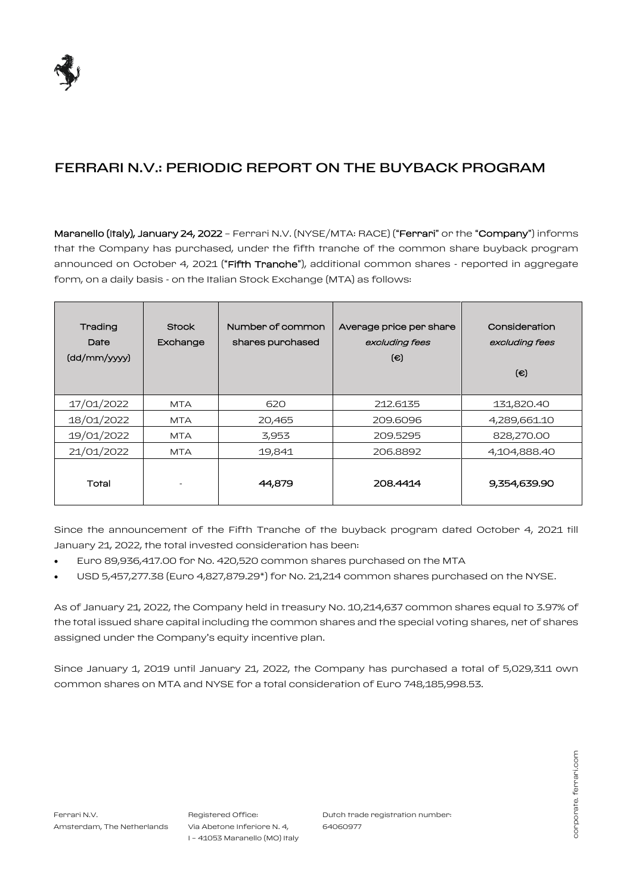

## FERRARI N.V.: PERIODIC REPORT ON THE BUYBACK PROGRAM

Maranello (Italy), January 24, 2022 – Ferrari N.V. (NYSE/MTA: RACE) ("Ferrari" or the "Company") informs that the Company has purchased, under the fifth tranche of the common share buyback program announced on October 4, 2021 ("Fifth Tranche"), additional common shares - reported in aggregate form, on a daily basis - on the Italian Stock Exchange (MTA) as follows:

| Trading<br>Date<br>$\frac{1}{\text{dd}/\text{mm}}$ /yyyy | <b>Stock</b><br>Exchange | Number of common<br>shares purchased | Average price per share<br>excluding fees<br>$\epsilon$ | Consideration<br>excluding fees<br>$(\epsilon)$ |
|----------------------------------------------------------|--------------------------|--------------------------------------|---------------------------------------------------------|-------------------------------------------------|
| 17/01/2022                                               | <b>MTA</b>               | 620                                  | 212.6135                                                | 131,820.40                                      |
| 18/01/2022                                               | <b>MTA</b>               | 20,465                               | 209,6096                                                | 4,289,661.10                                    |
| 19/01/2022                                               | <b>MTA</b>               | 3,953                                | 209.5295                                                | 828,270.00                                      |
| 21/01/2022                                               | <b>MTA</b>               | 19,841                               | 206.8892                                                | 4,104,888.40                                    |
| Total                                                    |                          | 44,879                               | 208.4414                                                | 9,354,639.90                                    |

Since the announcement of the Fifth Tranche of the buyback program dated October 4, 2021 till January 21, 2022, the total invested consideration has been:

- Euro 89,936,417.00 for No. 420,520 common shares purchased on the MTA
- USD 5,457,277.38 (Euro 4,827,879.29\*) for No. 21,214 common shares purchased on the NYSE.

As of January 21, 2022, the Company held in treasury No. 10,214,637 common shares equal to 3.97% of the total issued share capital including the common shares and the special voting shares, net of shares assigned under the Company's equity incentive plan.

Since January 1, 2019 until January 21, 2022, the Company has purchased a total of 5,029,311 own common shares on MTA and NYSE for a total consideration of Euro 748,185,998.53.

Registered Office: Via Abetone Inferiore N. 4, I – 41053 Maranello (MO) Italy Dutch trade registration number: 64060977